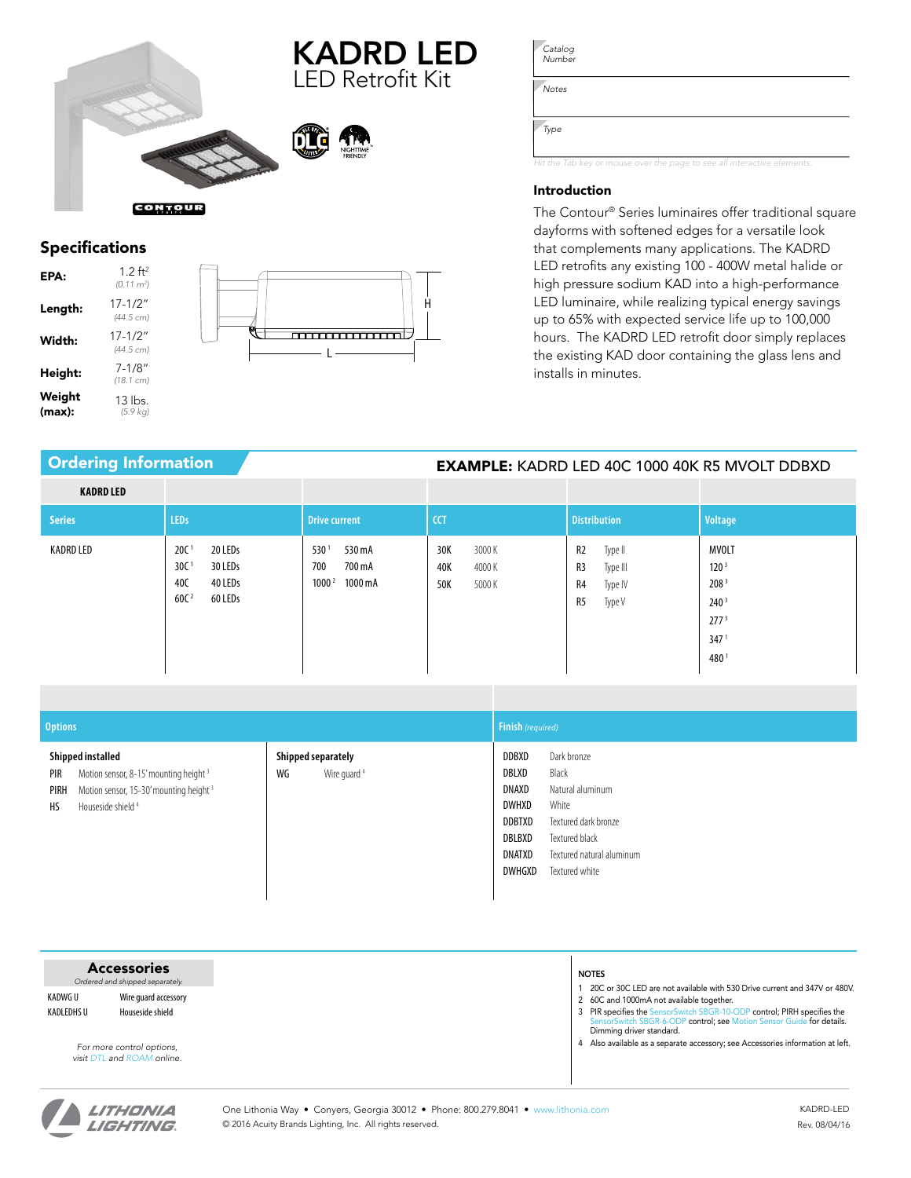

Ē

 $\mathsf{L}$ 

<del>mmmmmml</del>

# Specifications

| 1 2 ft <sup>2</sup><br>$(0.11 \text{ m}^2)$ |  |
|---------------------------------------------|--|
| $17 - 1/2"$<br>(44.5 cm)                    |  |
| $17 - 1/2"$<br>(44.5 cm)                    |  |
| $7 - 1/8"$<br>(18.1 cm)                     |  |
| $13$ lbs.<br>$(5.9 \text{ kg})$             |  |
|                                             |  |

# *Catalog Number Notes Type*

*Hit the Tab key or mouse over the page to see all interactive elements.*

# Introduction

The Contour® Series luminaires offer traditional square dayforms with softened edges for a versatile look that complements many applications. The KADRD LED retrofits any existing 100 - 400W metal halide or high pressure sodium KAD into a high-performance LED luminaire, while realizing typical energy savings up to 65% with expected service life up to 100,000 hours. The KADRD LED retrofit door simply replaces the existing KAD door containing the glass lens and installs in minutes.

| <b>Ordering Information</b> |                                                                                                             |                                                                 | <b>EXAMPLE:</b> KADRD LED 40C 1000 40K R5 MVOLT DDBXD |                                                                              |                                                                                                                          |  |  |  |  |
|-----------------------------|-------------------------------------------------------------------------------------------------------------|-----------------------------------------------------------------|-------------------------------------------------------|------------------------------------------------------------------------------|--------------------------------------------------------------------------------------------------------------------------|--|--|--|--|
| <b>KADRD LED</b>            |                                                                                                             |                                                                 |                                                       |                                                                              |                                                                                                                          |  |  |  |  |
| <b>Series</b>               | <b>LEDs</b>                                                                                                 | <b>Drive current</b>                                            | <b>CCT</b>                                            | <b>Distribution</b>                                                          | Voltage                                                                                                                  |  |  |  |  |
| <b>KADRD LED</b>            | 20C <sup>1</sup><br>20 LEDs<br>30C <sup>1</sup><br>30 LEDs<br>40 LEDs<br>40C<br>60 LEDs<br>60C <sup>2</sup> | 5301<br>530 mA<br>700<br>700 mA<br>1000 <sup>2</sup><br>1000 mA | 30K<br>3000 K<br>40K<br>4000 K<br>50K<br>5000 K       | R <sub>2</sub><br>Type II<br>R3<br>Type III<br>R4<br>Type IV<br>R5<br>Type V | <b>MVOLT</b><br>120 <sup>3</sup><br>208 <sup>3</sup><br>240 <sup>3</sup><br>277 <sup>3</sup><br>347 <sup>1</sup><br>4801 |  |  |  |  |

H

| <b>Options</b>                                                                                                                                           |                                                     | <b>Finish</b> (required)                                                                                                                                                                                                      |  |  |  |  |
|----------------------------------------------------------------------------------------------------------------------------------------------------------|-----------------------------------------------------|-------------------------------------------------------------------------------------------------------------------------------------------------------------------------------------------------------------------------------|--|--|--|--|
| Shipped installed<br>Motion sensor, 8-15' mounting height 3<br><b>PIR</b><br>Motion sensor, 15-30' mounting height 3<br>PIRH<br>Houseside shield 4<br>HS | Shipped separately<br>Wire guard <sup>4</sup><br>WG | Dark bronze<br>DDBXD<br>DBLXD<br>Black<br>DNAXD<br>Natural aluminum<br>DWHXD<br>White<br><b>DDBTXD</b><br>Textured dark bronze<br>DBLBXD<br>Textured black<br>DNATXD<br>Textured natural aluminum<br>DWHGXD<br>Textured white |  |  |  |  |

|                   | <b>Accessories</b><br>Ordered and shipped separately.   |  |
|-------------------|---------------------------------------------------------|--|
| KADWG U           | Wire quard accessory                                    |  |
| <b>KADLEDHS U</b> | Houseside shield                                        |  |
|                   | For more control options,<br>visit DTL and ROAM online. |  |

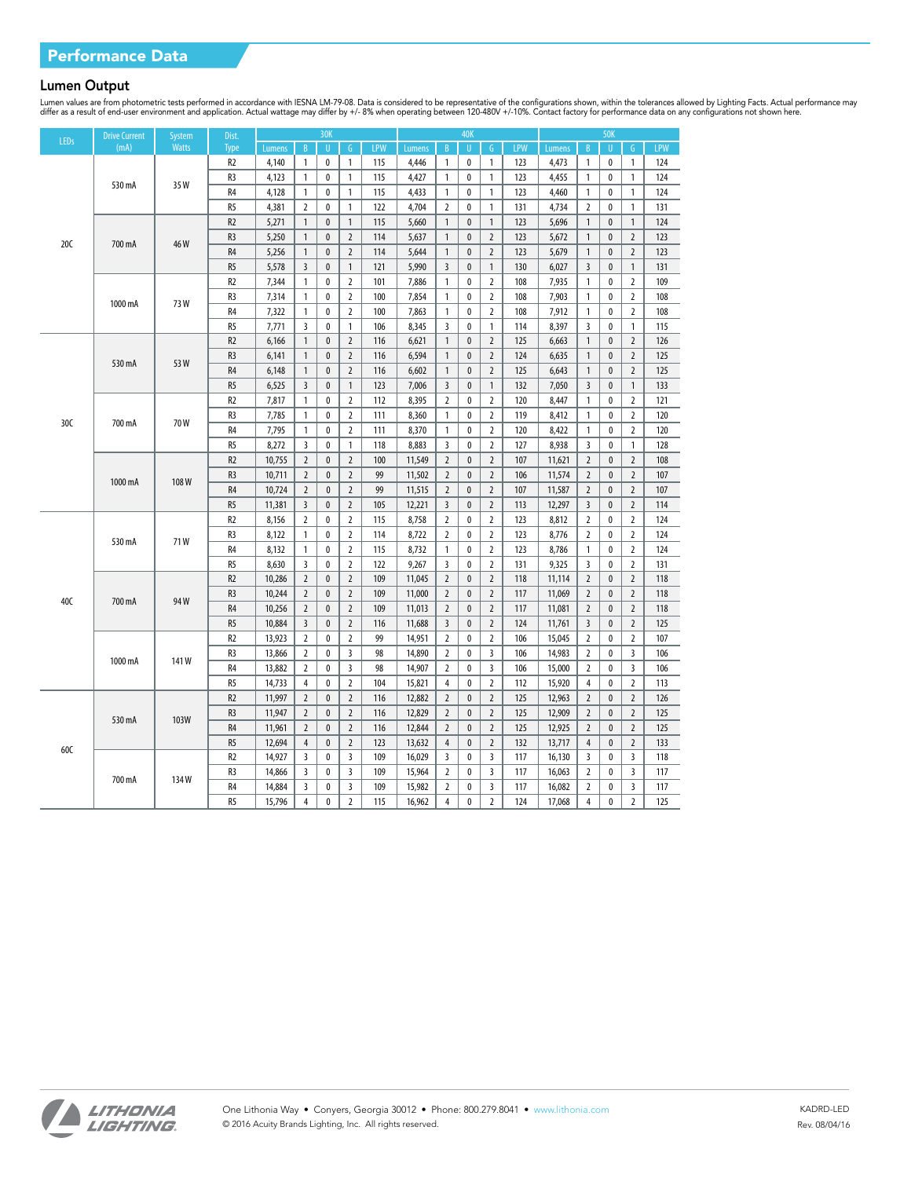# Lumen Output

Lumen values are from photometric tests performed in accordance with IESNA LM-79-08. Data is considered to be representative of the configurations shown, within the tolerances allowed by Lighting Facts. Actual performance

| <b>LEDs</b> | <b>Drive Current</b> | <b>System</b> | Dist.          |        |                | 30K          |                         |            |        |                         | 40K          |                |            |        |                | <b>50K</b>   |                |            |
|-------------|----------------------|---------------|----------------|--------|----------------|--------------|-------------------------|------------|--------|-------------------------|--------------|----------------|------------|--------|----------------|--------------|----------------|------------|
|             | (mA)                 | <b>Watts</b>  | <b>Type</b>    | Lumens | $\mathsf B$    | $\mathbf{U}$ | $\mathsf{G}$            | <b>LPW</b> | Lumens | $\overline{B}$          | $\mathbf{U}$ | G              | <b>LPW</b> | Lumens | B              | $\mathbf{U}$ | $\mathsf{G}$   | <b>LPW</b> |
|             |                      |               | R <sub>2</sub> | 4,140  | $\mathbf{1}$   | $\mathbf 0$  | $\mathbf{1}$            | 115        | 4,446  | $\mathbf{1}$            | 0            | $\mathbf{1}$   | 123        | 4,473  | $\mathbf{1}$   | $\mathbf{0}$ | $\mathbf{1}$   | 124        |
|             |                      |               | R <sub>3</sub> | 4,123  | $\mathbf{1}$   | 0            | $\mathbf{1}$            | 115        | 4,427  | $\mathbf{1}$            | 0            | $\mathbf{1}$   | 123        | 4,455  | $\mathbf{1}$   | $\mathbf{0}$ | $\mathbf{1}$   | 124        |
|             | 530 mA               | 35W           | R4             | 4,128  | $\mathbf{1}$   | 0            | $\mathbf{1}$            | 115        | 4,433  | $\mathbf{1}$            | 0            | $\mathbf{1}$   | 123        | 4,460  | $\mathbf{1}$   | $\mathbf{0}$ | $\mathbf{1}$   | 124        |
|             |                      |               | R <sub>5</sub> | 4,381  | $\overline{2}$ | 0            | $\mathbf{1}$            | 122        | 4,704  | $\overline{2}$          | 0            | $\mathbf{1}$   | 131        | 4,734  | $\overline{2}$ | $\mathbf{0}$ | $\mathbf{1}$   | 131        |
|             |                      |               | R <sub>2</sub> | 5,271  | $\mathbf{1}$   | 0            | $\mathbf{1}$            | 115        | 5,660  | $\mathbf{1}$            | $\pmb{0}$    | $\mathbf{1}$   | 123        | 5,696  | $\mathbf{1}$   | $\pmb{0}$    | $\mathbf{1}$   | 124        |
|             |                      | 46W           | R <sub>3</sub> | 5,250  | $\mathbf{1}$   | 0            | $\overline{2}$          | 114        | 5,637  | $\mathbf{1}$            | $\mathbf{0}$ | $\overline{2}$ | 123        | 5,672  | $\mathbf{1}$   | $\mathbf{0}$ | $\overline{2}$ | 123        |
| 20C         | 700 mA               |               | R4             | 5,256  | $\mathbf{1}$   | $\pmb{0}$    | $\overline{2}$          | 114        | 5,644  | $\mathbf{1}$            | $\pmb{0}$    | $\overline{2}$ | 123        | 5,679  | $\mathbf{1}$   | $\pmb{0}$    | $\overline{2}$ | 123        |
|             |                      |               | R <sub>5</sub> | 5,578  | $\overline{3}$ | $\mathbf{0}$ | $\mathbf{1}$            | 121        | 5,990  | $\overline{3}$          | $\mathbf{0}$ | $\mathbf{1}$   | 130        | 6,027  | $\overline{3}$ | $\mathbf{0}$ | $\mathbf{1}$   | 131        |
|             |                      |               | R <sub>2</sub> | 7,344  | $\mathbf{1}$   | 0            | $\overline{2}$          | 101        | 7,886  | $\mathbf{1}$            | 0            | $\overline{2}$ | 108        | 7,935  | $\mathbf{1}$   | $\pmb{0}$    | $\overline{2}$ | 109        |
|             | 1000 mA              | 73W           | R <sub>3</sub> | 7,314  | $\mathbf{1}$   | 0            | $\overline{2}$          | 100        | 7,854  | $\mathbf{1}$            | $\mathbf{0}$ | $\overline{2}$ | 108        | 7,903  | $\mathbf{1}$   | $\mathbf{0}$ | $\overline{2}$ | 108        |
|             |                      |               | R4             | 7,322  | $\mathbf{1}$   | 0            | $\overline{2}$          | 100        | 7,863  | $\mathbf{1}$            | 0            | $\overline{2}$ | 108        | 7,912  | $\mathbf{1}$   | 0            | $\overline{2}$ | 108        |
|             |                      |               | R <sub>5</sub> | 7,771  | $\overline{3}$ | 0            | $\mathbf{1}$            | 106        | 8,345  | $\overline{3}$          | $\mathbf{0}$ | $\mathbf{1}$   | 114        | 8,397  | $\overline{3}$ | $\pmb{0}$    | $\mathbf{1}$   | 115        |
|             |                      |               | R <sub>2</sub> | 6,166  | $\mathbf{1}$   | 0            | $\overline{2}$          | 116        | 6,621  | $\mathbf{1}$            | $\mathbf{0}$ | $\overline{2}$ | 125        | 6,663  | $\mathbf{1}$   | $\mathbf{0}$ | $\overline{2}$ | 126        |
|             | 530 mA               | 53W           | R <sub>3</sub> | 6,141  | $\mathbf{1}$   | 0            | $\overline{2}$          | 116        | 6,594  | $\mathbf{1}$            | $\mathbf{0}$ | $\overline{2}$ | 124        | 6,635  | $\mathbf{1}$   | $\mathbf{0}$ | $\overline{2}$ | 125        |
|             |                      |               | R4             | 6,148  | $\mathbf{1}$   | 0            | $\overline{2}$          | 116        | 6,602  | $\mathbf{1}$            | $\pmb{0}$    | $\overline{2}$ | 125        | 6,643  | $\mathbf{1}$   | $\pmb{0}$    | $\overline{2}$ | 125        |
|             |                      |               | R <sub>5</sub> | 6,525  | $\overline{3}$ | $\mathbf{0}$ | $\mathbf{1}$            | 123        | 7,006  | $\overline{3}$          | $\mathbf{0}$ | $\mathbf{1}$   | 132        | 7,050  | $\overline{3}$ | $\mathbf{0}$ | $\mathbf{1}$   | 133        |
|             |                      |               | R <sub>2</sub> | 7,817  | $\mathbf{1}$   | 0            | $\overline{2}$          | 112        | 8,395  | $\overline{2}$          | 0            | $\overline{2}$ | 120        | 8,447  | $\mathbf{1}$   | $\mathbf{0}$ | $\overline{2}$ | 121        |
| 30C         | 700 mA               | 70W           | R <sub>3</sub> | 7,785  | $\mathbf{1}$   | 0            | $\overline{2}$          | 111        | 8,360  | $\mathbf{1}$            | $\mathbf{0}$ | $\overline{2}$ | 119        | 8,412  | $\mathbf{1}$   | $\mathbf 0$  | $\overline{2}$ | 120        |
|             |                      |               | R4             | 7,795  | $\mathbf{1}$   | 0            | $\overline{2}$          | 111        | 8,370  | $\mathbf{1}$            | 0            | $\overline{2}$ | 120        | 8,422  | $\mathbf{1}$   | 0            | $\overline{2}$ | 120        |
|             |                      |               | R <sub>5</sub> | 8,272  | 3              | $\pmb{0}$    | $\mathbf{1}$            | 118        | 8,883  | $\overline{3}$          | $\pmb{0}$    | $\overline{2}$ | 127        | 8,938  | 3              | $\pmb{0}$    | $\mathbf{1}$   | 128        |
|             |                      | 108W          | R <sub>2</sub> | 10,755 | $\overline{2}$ | 0            | $\overline{2}$          | 100        | 11,549 | $\overline{2}$          | $\mathbf{0}$ | $\overline{2}$ | 107        | 11,621 | $\overline{2}$ | $\mathbf{0}$ | $\overline{2}$ | 108        |
|             |                      |               | R <sub>3</sub> | 10,711 | $\overline{2}$ | 0            | $\sqrt{2}$              | 99         | 11,502 | $\overline{2}$          | $\mathbf{0}$ | $\overline{2}$ | 106        | 11,574 | $\overline{2}$ | $\pmb{0}$    | $\overline{2}$ | 107        |
|             | 1000 mA              |               | R <sub>4</sub> | 10,724 | $\overline{2}$ | 0            | $\overline{2}$          | 99         | 11,515 | $\overline{2}$          | $\mathbf{0}$ | $\overline{2}$ | 107        | 11,587 | $\overline{2}$ | $\mathbf{0}$ | $\overline{2}$ | 107        |
|             |                      |               | R <sub>5</sub> | 11,381 | $\overline{3}$ | $\mathbf{0}$ | $\overline{2}$          | 105        | 12,221 | 3                       | $\mathbf{0}$ | $\overline{2}$ | 113        | 12,297 | $\overline{3}$ | $\pmb{0}$    | $\overline{2}$ | 114        |
|             |                      |               | R <sub>2</sub> | 8,156  | $\overline{2}$ | 0            | $\overline{2}$          | 115        | 8,758  | $\overline{2}$          | 0            | $\overline{2}$ | 123        | 8,812  | $\overline{2}$ | $\mathbf 0$  | $\overline{2}$ | 124        |
|             |                      | 71W           | R <sub>3</sub> | 8,122  | $\mathbf{1}$   | 0            | $\overline{2}$          | 114        | 8,722  | $\overline{2}$          | 0            | $\overline{2}$ | 123        | 8,776  | $\overline{2}$ | $\mathbf 0$  | $\overline{2}$ | 124        |
|             | 530 mA               |               | R4             | 8,132  | $\mathbf{1}$   | 0            | $\overline{2}$          | 115        | 8,732  | $\mathbf{1}$            | 0            | $\overline{2}$ | 123        | 8,786  | $\mathbf{1}$   | 0            | $\overline{2}$ | 124        |
|             |                      |               | R <sub>5</sub> | 8,630  | 3              | $\mathbf{0}$ | $\overline{2}$          | 122        | 9,267  | $\overline{\mathbf{3}}$ | $\mathbf{0}$ | $\overline{2}$ | 131        | 9,325  | $\overline{3}$ | $\pmb{0}$    | $\overline{2}$ | 131        |
|             |                      |               | R <sub>2</sub> | 10,286 | $\overline{2}$ | $\mathbf{0}$ | $\overline{2}$          | 109        | 11,045 | $\overline{2}$          | $\mathbf{0}$ | $\overline{2}$ | 118        | 11,114 | $\overline{2}$ | $\mathbf{0}$ | $\overline{2}$ | 118        |
| 40C         | 700 mA               | 94W           | R <sub>3</sub> | 10,244 | $\overline{2}$ | $\pmb{0}$    | $\mathbf 2$             | 109        | 11,000 | $\overline{2}$          | $\mathbf{0}$ | $\overline{2}$ | 117        | 11,069 | $\overline{2}$ | $\pmb{0}$    | $\overline{2}$ | 118        |
|             |                      |               | R <sub>4</sub> | 10,256 | $\overline{2}$ | $\mathbf{0}$ | $\overline{2}$          | 109        | 11,013 | $\overline{2}$          | $\mathbf{0}$ | $\overline{2}$ | 117        | 11,081 | $\overline{2}$ | $\mathbf{0}$ | $\overline{2}$ | 118        |
|             |                      |               | R <sub>5</sub> | 10,884 | 3              | $\pmb{0}$    | $\overline{2}$          | 116        | 11,688 | 3                       | $\mathbf{0}$ | $\overline{2}$ | 124        | 11,761 | $\overline{3}$ | $\pmb{0}$    | $\overline{2}$ | 125        |
|             |                      |               | R <sub>2</sub> | 13,923 | $\overline{2}$ | $\mathbf{0}$ | $\overline{2}$          | 99         | 14,951 | $\overline{2}$          | $\mathbf{0}$ | $\overline{2}$ | 106        | 15,045 | $\overline{2}$ | $\mathbf{0}$ | $\overline{2}$ | 107        |
|             | 1000 mA              | 141W          | R3             | 13,866 | $\overline{2}$ | 0            | $\overline{\mathbf{3}}$ | 98         | 14,890 | $\overline{2}$          | $\mathbf{0}$ | 3              | 106        | 14,983 | $\overline{2}$ | $\pmb{0}$    | 3              | 106        |
|             |                      |               | R4             | 13,882 | $\overline{2}$ | $\mathbf{0}$ | $\overline{3}$          | 98         | 14,907 | $\overline{2}$          | $\mathbf{0}$ | $\overline{3}$ | 106        | 15,000 | $\overline{2}$ | $\mathbf{0}$ | $\overline{3}$ | 106        |
|             |                      |               | R <sub>5</sub> | 14,733 | $\overline{4}$ | $\mathbf{0}$ | $\overline{2}$          | 104        | 15,821 | $\overline{4}$          | $\mathbf{0}$ | $\overline{2}$ | 112        | 15,920 | $\overline{4}$ | $\mathbf{0}$ | $\overline{2}$ | 113        |
|             |                      |               | R <sub>2</sub> | 11,997 | $\overline{2}$ | $\mathbf{0}$ | $\overline{2}$          | 116        | 12,882 | $\overline{2}$          | $\mathbf{0}$ | $\overline{2}$ | 125        | 12,963 | $\overline{2}$ | $\mathbf{0}$ | $\overline{2}$ | 126        |
|             | 530 mA               | 103W          | R <sub>3</sub> | 11,947 | $\overline{2}$ | 0            | $\overline{2}$          | 116        | 12,829 | $\overline{2}$          | $\pmb{0}$    | $\overline{2}$ | 125        | 12,909 | $\overline{2}$ | $\pmb{0}$    | $\overline{2}$ | 125        |
|             |                      |               | R <sub>4</sub> | 11,961 | $\overline{2}$ | $\mathbf{0}$ | $\overline{2}$          | 116        | 12,844 | $\overline{2}$          | $\mathbf{0}$ | $\overline{2}$ | 125        | 12,925 | $\overline{2}$ | $\mathbf{0}$ | $\overline{2}$ | 125        |
| 60C         |                      |               | R <sub>5</sub> | 12,694 | $\overline{4}$ | 0            | $\overline{2}$          | 123        | 13,632 | $\overline{4}$          | $\pmb{0}$    | $\overline{2}$ | 132        | 13,717 | $\overline{4}$ | $\pmb{0}$    | $\overline{2}$ | 133        |
|             |                      |               | R <sub>2</sub> | 14,927 | 3              | $\mathbf{0}$ | $\overline{3}$          | 109        | 16,029 | $\overline{3}$          | $\mathbf{0}$ | $\overline{3}$ | 117        | 16,130 | $\overline{3}$ | $\mathbf{0}$ | $\overline{3}$ | 118        |
|             | 700 mA               | 134W          | R3             | 14,866 | 3              | 0            | $\overline{3}$          | 109        | 15,964 | $\overline{2}$          | 0            | 3              | 117        | 16,063 | $\overline{2}$ | $\pmb{0}$    | 3              | 117        |
|             |                      |               | R4             | 14,884 | $\overline{3}$ | 0            | $\overline{3}$          | 109        | 15,982 | $\overline{2}$          | $\mathbf{0}$ | $\overline{3}$ | 117        | 16,082 | $\overline{2}$ | $\pmb{0}$    | $\overline{3}$ | 117        |
|             |                      |               | R <sub>5</sub> | 15,796 | 4              | 0            | $\overline{2}$          | 115        | 16,962 | $\overline{4}$          | $\bf{0}$     | $\overline{2}$ | 124        | 17,068 | $\overline{4}$ | $\mathbf{0}$ | $\overline{2}$ | 125        |